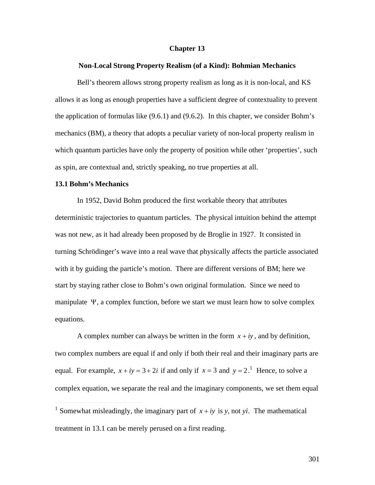# **Chapter 13**

#### **Non-Local Strong Property Realism (of a Kind): Bohmian Mechanics**

Bell's theorem allows strong property realism as long as it is non-local, and KS allows it as long as enough properties have a sufficient degree of contextuality to prevent the application of formulas like (9.6.1) and (9.6.2). In this chapter, we consider Bohm's mechanics (BM), a theory that adopts a peculiar variety of non-local property realism in which quantum particles have only the property of position while other 'properties', such as spin, are contextual and, strictly speaking, no true properties at all.

## **13.1 Bohm's Mechanics**

† 1872)<br>1872 – Johann Barnett, frysk skriuwer<br>1872 – Johann Barnett, frysk skriuwer

 $\overline{a}$ 

In 1952, David Bohm produced the first workable theory that attributes deterministic trajectories to quantum particles. The physical intuition behind the attempt was not new, as it had already been proposed by de Broglie in 1927. It consisted in turning Schrödinger's wave into a real wave that physically affects the particle associated with it by guiding the particle's motion. There are different versions of BM; here we start by staying rather close to Bohm's own original formulation. Since we need to manipulate  $\Psi$ , a complex function, before we start we must learn how to solve complex equations.

A complex number can always be written in the form  $x + iy$ , and by definition, equal. For example,  $x + iy = 3 + 2i$  if and only if  $x = 3$  and  $y = 2$ .<sup>1</sup> Hence, to solve a two complex numbers are equal if and only if both their real and their imaginary parts are complex equation, we separate the real and the imaginary components, we set them equal

<sup>&</sup>lt;sup>1</sup> Somewhat misleadingly, the imaginary part of  $x + iy$  is y, not yi. The mathematical treatment in 13.1 can be merely perused on a first reading.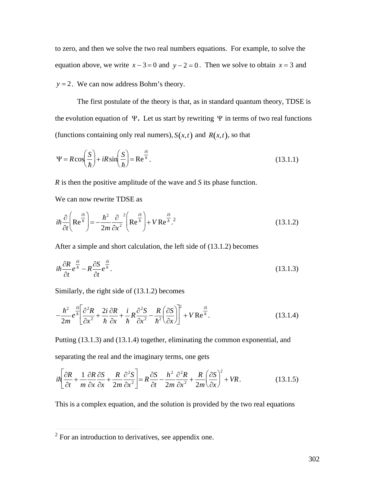to zero, and then we solve the two real numbers equations. For example, to solve the equation above, we write  $x - 3 = 0$  and  $y - 2 = 0$ . Then we solve to obtain  $x = 3$  and  $y = 2$ . We can now address Bohm's theory.

The first postulate of the theory is that, as in standard quantum theory, TDSE is the evolution equation of  $\Psi$ . Let us start by rewriting  $\Psi$  in terms of two real functions (functions containing only real numers),  $S(x,t)$  and  $R(x,t)$ , so that

$$
\Psi = R\cos\left(\frac{S}{\hbar}\right) + iR\sin\left(\frac{S}{\hbar}\right) = \text{Re}^{\frac{iS}{\hbar}}.\tag{13.1.1}
$$

*R* is then the positive amplitude of the wave and *S* its phase function.

We can now rewrite TDSE as

$$
i\hbar \frac{\partial}{\partial t} \left( \mathbf{Re}^{\frac{iS}{\hbar}} \right) = -\frac{\hbar^2}{2m} \frac{\partial}{\partial x^2}^2 \left( \mathbf{Re}^{\frac{iS}{\hbar}} \right) + V \mathbf{Re}^{\frac{iS}{\hbar}}.
$$
 (13.1.2)

After a simple and short calculation, the left side of (13.1.2) becomes

$$
i\hbar \frac{\partial R}{\partial t} e^{\frac{iS}{\hbar}} - R \frac{\partial S}{\partial t} e^{\frac{iS}{\hbar}}.
$$
\n(13.1.3)

Similarly, the right side of (13.1.2) becomes

$$
-\frac{\hbar^2}{2m}e^{\frac{iS}{\hbar}}\left[\frac{\partial^2 R}{\partial x^2}+\frac{2i}{\hbar}\frac{\partial R}{\partial x}+\frac{i}{\hbar}R\frac{\partial^2 S}{\partial x^2}-\frac{R}{\hbar^2}\left(\frac{\partial S}{\partial x}\right)\right]^2+V\operatorname{Re}^{\frac{iS}{\hbar}}.\tag{13.1.4}
$$

Putting (13.1.3) and (13.1.4) together, eliminating the common exponential, and separating the real and the imaginary terms, one gets

$$
i\hbar \left[ \frac{\partial R}{\partial t} + \frac{1}{m} \frac{\partial R}{\partial x} \frac{\partial S}{\partial x} + \frac{R}{2m} \frac{\partial^2 S}{\partial x^2} \right] = R \frac{\partial S}{\partial t} - \frac{h^2}{2m} \frac{\partial^2 R}{\partial x^2} + \frac{R}{2m} \left( \frac{\partial S}{\partial x} \right)^2 + VR. \tag{13.1.5}
$$

This is a complex equation, and the solution is provided by the two real equations

 $\overline{a}$ 

 $2^2$  For an introduction to derivatives, see appendix one.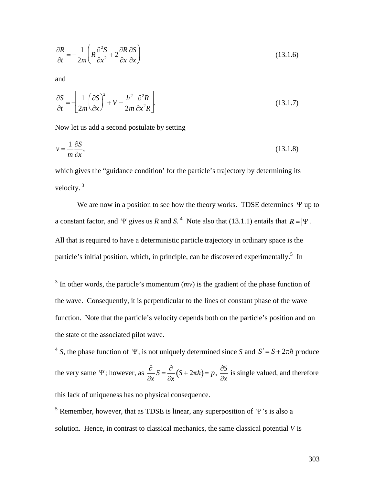$$
\frac{\partial R}{\partial t} = -\frac{1}{2m} \left( R \frac{\partial^2 S}{\partial x^2} + 2 \frac{\partial R}{\partial x} \frac{\partial S}{\partial x} \right)
$$
(13.1.6)

and

 $\overline{a}$ 

$$
\frac{\partial S}{\partial t} = -\left[ \frac{1}{2m} \left( \frac{\partial S}{\partial x} \right)^2 + V - \frac{h^2}{2m} \frac{\partial^2 R}{\partial x^2 R} \right].
$$
\n(13.1.7)

Now let us add a second postulate by setting

$$
v = \frac{1}{m} \frac{\partial S}{\partial x},\tag{13.1.8}
$$

which gives the "guidance condition' for the particle's trajectory by determining its velocity. <sup>3</sup>

We are now in a position to see how the theory works. TDSE determines  $\Psi$  up to a constant factor, and  $\Psi$  gives us *R* and *S*.<sup>4</sup> Note also that (13.1.1) entails that  $R = |\Psi|$ . particle's initial position, which, in principle, can be discovered experimentally.<sup>5</sup> In All that is required to have a deterministic particle trajectory in ordinary space is the

<sup>4</sup> S, the phase function of 
$$
\Psi
$$
, is not uniquely determined since S and  $S' = S + 2\pi\hbar$  produce  
the very same  $\Psi$ ; however, as  $\frac{\partial}{\partial x}S = \frac{\partial}{\partial x}(S + 2\pi\hbar) = p$ ,  $\frac{\partial S}{\partial x}$  is single valued, and therefore  
this lack of uniqueness has no physical consequence.

<sup>5</sup> Remember, however, that as TDSE is linear, any superposition of  $\Psi$ 's is also a solution. Hence, in contrast to classical mechanics, the same classical potential *V* is

 $3$  In other words, the particle's momentum  $(mv)$  is the gradient of the phase function of the wave. Consequently, it is perpendicular to the lines of constant phase of the wave function. Note that the particle's velocity depends both on the particle's position and on the state of the associated pilot wave.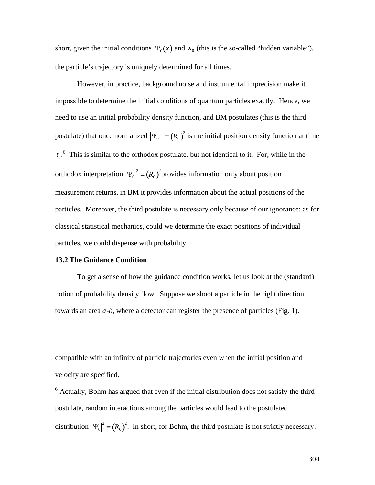short, given the initial conditions  $\Psi_0(x)$  and  $x_0$  (this is the so-called "hidden variable"), the particle's trajectory is uniquely determined for all times.

† † However, in practice, background noise and instrumental imprecision make it impossible to determine the initial conditions of quantum particles exactly. Hence, we need to use an initial probability density function, and BM postulates (this is the third postulate) that once normalized  $|\Psi_0|^2 = (R_0)^2$  is the initial position density function at time  $\sqrt{2}$  $t_0$ <sup>6</sup>. This is similar to the orthodox postulate, but not identical to it. For, while in the orthodox interpretation  $|\Psi_0|^2 = (R_0)^2$  provides information only about position particles. Moreover, the third postulate is necessary only because of our ignorance: as for measurement returns, in BM it provides information about the actual positions of the classical statistical mechanics, could we determine the exact positions of individual particles, we could dispense with probability.

## **13.2 The Guidance Condition**

 $\overline{a}$ 

To get a sense of how the guidance condition works, let us look at the (standard) notion of probability density flow. Suppose we shoot a particle in the right direction towards an area *a*-*b*, where a detector can register the presence of particles (Fig. 1).

compatible with an infinity of particle trajectories even when the initial position and velocity are specified.

 $6$  Actually, Bohm has argued that even if the initial distribution does not satisfy the third postulate, random interactions among the particles would lead to the postulated distribution  $|\Psi_0|^2 = (R_0)^2$ . In short, for Bohm, the third postulate is not strictly necessary.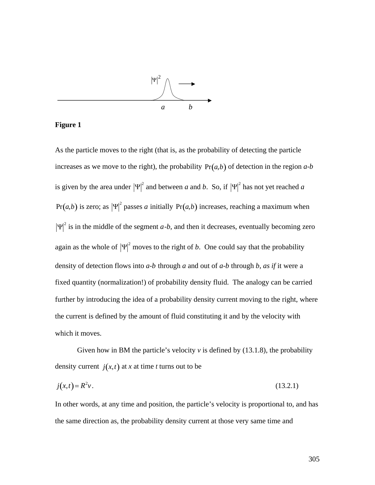

# **Figure 1**

As the particle moves to the right (that is, as the probability of detecting the particle increases as we move to the right), the probability  $Pr(a,b)$  of detection in the region  $a-b$ is given by the area under  $|\Psi|^2$  and between *a* and *b*. So, if  $|\Psi|^2$  has not yet reached *a*  $Pr(a,b)$  is zero; as  $|\Psi|^2$  passes *a* initially  $Pr(a,b)$  increases, reaching a maximum when † †  $\Psi$ <sup>2</sup> is in the middle of the segment *a*-*b*, and then it decreases, eventually becoming zero again as the whole of  $|\Psi|^2$  moves to the right of *b*. One could say that the probability fixed quantity (normalization!) of probability density fluid. The analogy can be carried density of detection flows into *a*-*b* through *a* and out of *a*-*b* through *b*, *as if* it were a further by introducing the idea of a probability density current moving to the right, where the current is defined by the amount of fluid constituting it and by the velocity with which it moves.

Given how in BM the particle's velocity  $\nu$  is defined by (13.1.8), the probability density current  $j(x,t)$  at *x* at time *t* turns out to be

$$
j(x,t) = R^2 v.
$$
 (13.2.1)

In other words, at any time and position, the particle's velocity is proportional to, and has the same direction as, the probability density current at those very same time and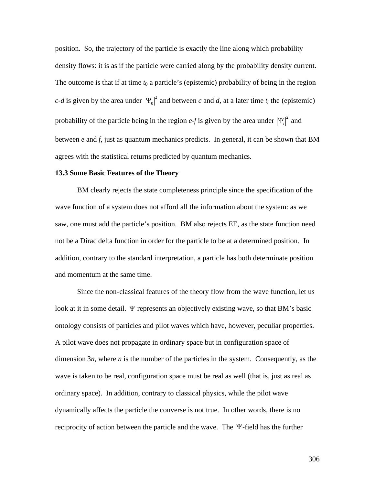position. So, the trajectory of the particle is exactly the line along which probability density flows: it is as if the particle were carried along by the probability density current. The outcome is that if at time *t*0 a particle's (epistemic) probability of being in the region *c*-*d* is given by the area under  $|\Psi_0|^2$  and between *c* and *d*, at a later time  $t_i$  the (epistemic) probability of the particle being in the region  $e$ -*f* is given by the area under  $|\Psi_i|^2$  and agrees with the statistical returns predicted by quantum mechanics. between *e* and *f*, just as quantum mechanics predicts. In general, it can be shown that BM

## **13.3 Some Basic Features of the Theory**

BM clearly rejects the state completeness principle since the specification of the wave function of a system does not afford all the information about the system: as we saw, one must add the particle's position. BM also rejects EE, as the state function need not be a Dirac delta function in order for the particle to be at a determined position. In addition, contrary to the standard interpretation, a particle has both determinate position and momentum at the same time.

Since the non-classical features of the theory flow from the wave function, let us look at it in some detail. Y represents an objectively existing wave, so that BM's basic A pilot wave does not propagate in ordinary space but in configuration space of ontology consists of particles and pilot waves which have, however, peculiar properties. dimension 3*n*, where *n* is the number of the particles in the system. Consequently, as the wave is taken to be real, configuration space must be real as well (that is, just as real as ordinary space). In addition, contrary to classical physics, while the pilot wave dynamically affects the particle the converse is not true. In other words, there is no reciprocity of action between the particle and the wave. The Y-field has the further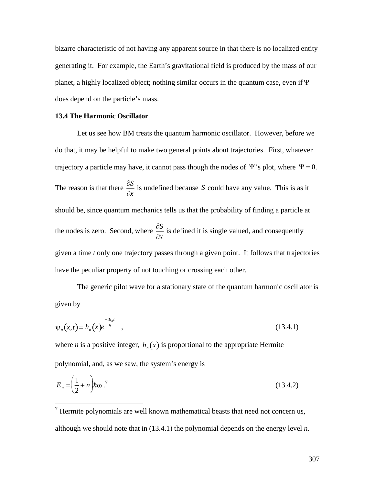bizarre characteristic of not having any apparent source in that there is no localized entity generating it. For example, the Earth's gravitational field is produced by the mass of our planet, a highly localized object; nothing similar occurs in the quantum case, even if Y does depend on the particle's mass.

## **13.4 The Harmonic Oscillator**

Let us see how BM treats the quantum harmonic oscillator. However, before we do that, it may be helpful to make two general points about trajectories. First, whatever trajectory a particle may have, it cannot pass though the nodes of  $\Psi$ 's plot, where  $\Psi = 0$ . The reason is that there  $\frac{\partial S}{\partial \rho}$  is undet *¶x* is undefined because *S* could have any value. This is as it should be, since quantum mechanics tells us that the probability of finding a particle at the nodes is zero. Second, where  $\frac{\partial S}{\partial \theta}$  is define have the peculiar property of not touching or crossing each other. *¶x* is defined it is single valued, and consequently given a time *t* only one trajectory passes through a given point. It follows that trajectories

The generic pilot wave for a stationary state of the quantum harmonic oscillator is given by

$$
\psi_n(x,t) = h_n(x)e^{\frac{-iE_nt}{\hbar}}, \qquad (13.4.1)
$$

† polynomial, and, as we saw, the system's energy is where *n* is a positive integer,  $h_n(x)$  is proportional to the appropriate Hermite

$$
E_n = \left(\frac{1}{2} + n\right) \hbar \omega
$$
 (13.4.2)

<sup>7</sup> Hermite polynomials are well known mathematical beasts that need not concern us, although we should note that in (13.4.1) the polynomial depends on the energy level *n*.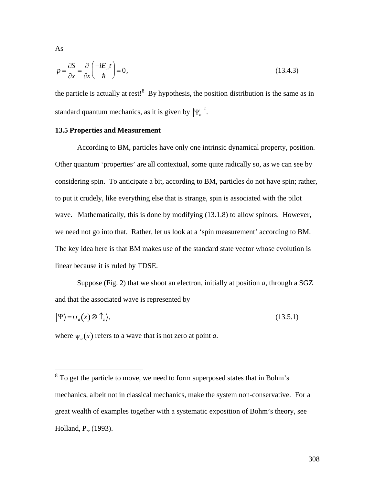$$
p = \frac{\partial S}{\partial x} = \frac{\partial}{\partial x} \left( \frac{-iE_n t}{\hbar} \right) = 0,
$$
\n(13.4.3)

the particle is actually at rest! $8$  By hypothesis, the position distribution is the same as in standard quantum mechanics, as it is given by  $|\Psi_n|^2$ .

# **13.5 Properties and Measurement**

According to BM, particles have only one intrinsic dynamical property, position. Other quantum 'properties' are all contextual, some quite radically so, as we can see by considering spin. To anticipate a bit, according to BM, particles do not have spin; rather, to put it crudely, like everything else that is strange, spin is associated with the pilot wave. Mathematically, this is done by modifying  $(13.1.8)$  to allow spinors. However, we need not go into that. Rather, let us look at a 'spin measurement' according to BM. The key idea here is that BM makes use of the standard state vector whose evolution is linear because it is ruled by TDSE.

Suppose (Fig. 2) that we shoot an electron, initially at position *a*, through a SGZ and that the associated wave is represented by

$$
|\Psi\rangle = \psi_a(x) \otimes |\uparrow_z\rangle,\tag{13.5.1}
$$

where  $\psi_a(x)$  refers to a wave that is not zero at point *a*.

As

†

<sup>&</sup>lt;sup>8</sup> To get the particle to move, we need to form superposed states that in Bohm's mechanics, albeit not in classical mechanics, make the system non-conservative. For a great wealth of examples together with a systematic exposition of Bohm's theory, see Holland, P., (1993).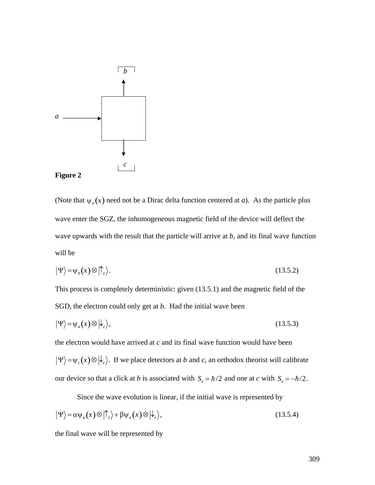



(Note that  $\psi_a(x)$  need not be a Dirac delta function centered at *a*). As the particle plus wave upwards with the result that the particle will arrive at  $b$ , and its final wave function wave enter the SGZ, the inhomogeneous magnetic field of the device will deflect the will be

$$
|\Psi\rangle = \psi_b(x) \otimes |\uparrow_z\rangle. \tag{13.5.2}
$$

This process is completely deterministic: given (13.5.1) and the magnetic field of the SGD, the electron could only get at *b*. Had the initial wave been

$$
|\Psi\rangle = \psi_a(x) \otimes |\psi_z\rangle, \tag{13.5.3}
$$

the electron would have arrived at *c* and its final wave function would have been  $\Psi$  =  $\Psi_c(x)$   $\otimes$   $|\psi_z\rangle$ . If we place detectors at *b* and *c*, an orthodox theorist will calibrate our device so that a click at *b* is associated with  $S_z = \hbar/2$  and one at *c* with  $S_z = -\hbar/2$ .

Since the wave evolution is linear, if the initial wave is represented by

$$
|\Psi\rangle = \alpha \psi_a(x) \otimes |\uparrow_z\rangle + \beta \psi_a(x) \otimes |\downarrow_z\rangle, \qquad (13.5.4)
$$

the final wave will be represented by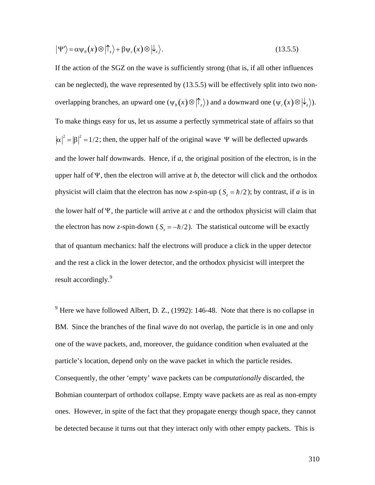$$
|\Psi'\rangle = \alpha \psi_b(x) \otimes |\uparrow_z\rangle + \beta \psi_c(x) \otimes |\downarrow_z\rangle. \tag{13.5.5}
$$

If the action of the SGZ on the wave is sufficiently strong (that is, if all other influences can be neglected), the wave represented by (13.5.5) will be effectively split into two nonoverlapping branches, an upward one  $(\psi_b(x) \otimes | \uparrow_z \rangle)$  and a downward one  $(\psi_c(x) \otimes | \downarrow_z \rangle)$ .  $|\alpha|^2 = |\beta|^2 = 1/2$ ; then, the upper half of the original wave  $\Psi$  will be deflected upwards To make things easy for us, let us assume a perfectly symmetrical state of affairs so that and the lower half downwards. Hence, if *a*, the original position of the electron, is in the upper half of  $\Psi$ , then the electron will arrive at *b*, the detector will click and the orthodox  $\mathbf{L}^{\text{max}}$ physicist will claim that the electron has now *z*-spin-up ( $S_z = \hbar/2$ ); by contrast, if *a* is in the electron has now *z*-spin-down ( $S_z = -\hbar/2$ ). The statistical outcome will be exactly the lower half of  $\Psi$ , the particle will arrive at  $c$  and the orthodox physicist will claim that and the rest a click in the lower detector, and the orthodox physicist will interpret the that of quantum mechanics: half the electrons will produce a click in the upper detector result accordingly.<sup>9</sup>

 $9$  Here we have followed Albert, D. Z., (1992): 146-48. Note that there is no collapse in BM. Since the branches of the final wave do not overlap, the particle is in one and only one of the wave packets, and, moreover, the guidance condition when evaluated at the particle's location, depend only on the wave packet in which the particle resides. Consequently, the other 'empty' wave packets can be *computationally* discarded, the Bohmian counterpart of orthodox collapse. Empty wave packets are as real as non-empty ones. However, in spite of the fact that they propagate energy though space, they cannot be detected because it turns out that they interact only with other empty packets. This is

 $\overline{a}$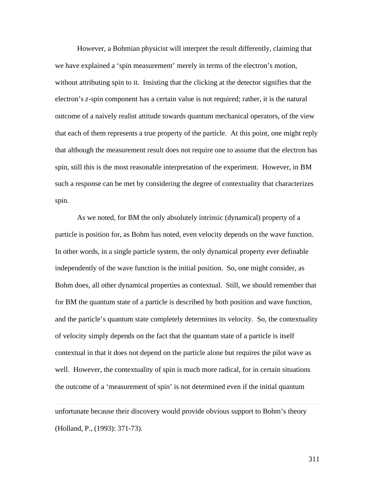However, a Bohmian physicist will interpret the result differently, claiming that we have explained a 'spin measurement' merely in terms of the electron's motion, without attributing spin to it. Insisting that the clicking at the detector signifies that the electron's *z*-spin component has a certain value is not required; rather, it is the natural outcome of a naively realist attitude towards quantum mechanical operators, of the view that each of them represents a true property of the particle. At this point, one might reply that although the measurement result does not require one to assume that the electron has spin, still this is the most reasonable interpretation of the experiment. However, in BM such a response can be met by considering the degree of contextuality that characterizes spin.

As we noted, for BM the only absolutely intrinsic (dynamical) property of a particle is position for, as Bohm has noted, even velocity depends on the wave function. In other words, in a single particle system, the only dynamical property ever definable independently of the wave function is the initial position. So, one might consider, as Bohm does, all other dynamical properties as contextual. Still, we should remember that for BM the quantum state of a particle is described by both position and wave function, and the particle's quantum state completely determines its velocity. So, the contextuality of velocity simply depends on the fact that the quantum state of a particle is itself contextual in that it does not depend on the particle alone but requires the pilot wave as well. However, the contextuality of spin is much more radical, for in certain situations the outcome of a 'measurement of spin' is not determined even if the initial quantum

unfortunate because their discovery would provide obvious support to Bohm's theory (Holland, P., (1993): 371-73).

 $\overline{a}$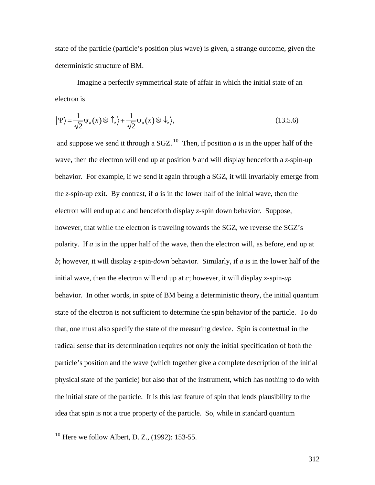state of the particle (particle's position plus wave) is given, a strange outcome, given the deterministic structure of BM.

Imagine a perfectly symmetrical state of affair in which the initial state of an electron is

$$
|\Psi\rangle = \frac{1}{\sqrt{2}} \Psi_a(x) \otimes |\uparrow_z\rangle + \frac{1}{\sqrt{2}} \Psi_a(x) \otimes |\downarrow_z\rangle, \tag{13.5.6}
$$

and suppose we send it through a SGZ.<sup>10</sup> Then, if position *a* is in the upper half of the wave, then the electron will end up at position *b* and will display henceforth a *z*-spin-up behavior. For example, if we send it again through a SGZ, it will invariably emerge from the *z*-spin-up exit. By contrast, if *a* is in the lower half of the initial wave, then the electron will end up at *c* and henceforth display *z*-spin down behavior. Suppose, however, that while the electron is traveling towards the SGZ, we reverse the SGZ's polarity. If *a* is in the upper half of the wave, then the electron will, as before, end up at *b*; however, it will display *z*-spin-*down* behavior. Similarly, if *a* is in the lower half of the initial wave, then the electron will end up at *c*; however, it will display *z*-spin-*up*  behavior. In other words, in spite of BM being a deterministic theory, the initial quantum state of the electron is not sufficient to determine the spin behavior of the particle. To do that, one must also specify the state of the measuring device. Spin is contextual in the radical sense that its determination requires not only the initial specification of both the particle's position and the wave (which together give a complete description of the initial physical state of the particle) but also that of the instrument, which has nothing to do with the initial state of the particle. It is this last feature of spin that lends plausibility to the idea that spin is not a true property of the particle. So, while in standard quantum

 $\overline{a}$ 

 $10$  Here we follow Albert, D. Z., (1992): 153-55.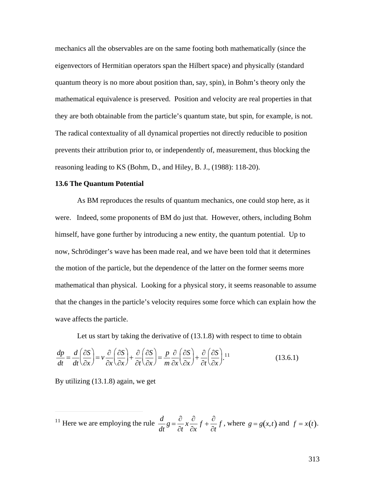mechanics all the observables are on the same footing both mathematically (since the eigenvectors of Hermitian operators span the Hilbert space) and physically (standard quantum theory is no more about position than, say, spin), in Bohm's theory only the mathematical equivalence is preserved. Position and velocity are real properties in that they are both obtainable from the particle's quantum state, but spin, for example, is not. The radical contextuality of all dynamical properties not directly reducible to position prevents their attribution prior to, or independently of, measurement, thus blocking the reasoning leading to KS (Bohm, D., and Hiley, B. J., (1988): 118-20).

## **13.6 The Quantum Potential**

As BM reproduces the results of quantum mechanics, one could stop here, as it were. Indeed, some proponents of BM do just that. However, others, including Bohm himself, have gone further by introducing a new entity, the quantum potential. Up to now, Schrödinger's wave has been made real, and we have been told that it determines the motion of the particle, but the dependence of the latter on the former seems more mathematical than physical. Looking for a physical story, it seems reasonable to assume that the changes in the particle's velocity requires some force which can explain how the wave affects the particle.

Let us start by taking the derivative of (13.1.8) with respect to time to obtain  $\frac{dp}{dt} = \frac{d}{dt} \left( \frac{\partial S}{\partial x} \right) = v$  $dt \backslash \partial x$ *aS* | *∂* |  $\partial x$   $\partial x$  $\left(\frac{\partial S}{\partial x}\right) = v \frac{\partial}{\partial x} \left(\frac{\partial S}{\partial x}\right) + \frac{\partial}{\partial y}$ *∂x*  $\langle$  ∂*x* /  $\partial$ *S*  $\bigcup$   $\partial$  $\bigcap$  $\partial$ *.*  $\partial$ *x*)  $\partial$ *t*  $\setminus$ *i*  $\left(\frac{\partial S}{\partial x}\right) + \frac{\partial}{\partial t}\left(\frac{\partial S}{\partial x}\right) = \frac{1}{t}$  $\partial t \backslash \partial x$  $\partial S$  |  $p \partial$ *∂x) m ∂*.  $\left(\frac{\partial S}{\partial x}\right) = \frac{p}{m} \frac{\partial}{\partial x} \left(\frac{\partial S}{\partial x}\right)$  $m \partial x \backslash \partial x$ *)*  $\partial t$  $\partial$   $\partial$   $\partial$   $\Omega$   $\big)$ *∂x*  $\langle$  ∂*x* /  $\partial$ *S*  $\bigcup$   $\partial$  $\bigcap$  $\partial$ *.*  $\partial$ *x*)  $\partial$ *t*  $\setminus$ *i*  $\left(\frac{\partial S}{\partial x}\right) + \frac{\partial}{\partial t}\left(\frac{\partial S}{\partial x}\right).$ <sup>11</sup>  $\partial t \backslash \partial x$  $\partial S$  |  $_{11}$  $\partial x$ <sup>*j*</sup>  $\left(\frac{\partial S}{\partial x}\right)^{11}$  $(13.6.1)$ 

By utilizing (13.1.8) again, we get

 $\overline{a}$ 

<sup>11</sup> Here we are employing the rule  $\frac{d}{dt}g = \frac{\partial}{\partial t}x \frac{\partial}{\partial x}f +$  $\partial t$   $\partial x$  $x - \frac{\partial}{\partial} f + \frac{\partial}{\partial y} g$  $\partial x$   $\partial t$   $\partial t$   $\partial t$  $f + \frac{\partial}{\partial x} f$ , when  $\partial t$ <sup>*t*</sup> *f*, where  $g = g(x,t)$  and  $f = x(t)$ .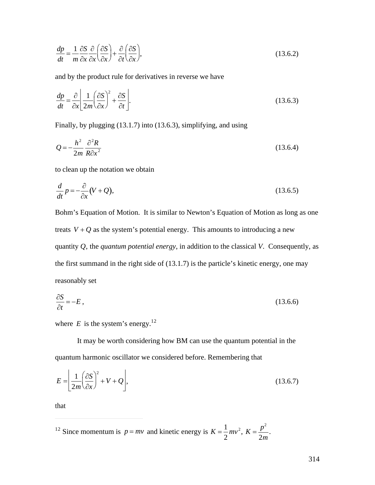$$
\frac{dp}{dt} = \frac{1}{m} \frac{\partial S}{\partial x} \frac{\partial}{\partial x} \left( \frac{\partial S}{\partial x} \right) + \frac{\partial}{\partial t} \left( \frac{\partial S}{\partial x} \right),\tag{13.6.2}
$$

and by the product rule for derivatives in reverse we have

$$
\frac{dp}{dt} = \frac{\partial}{\partial x} \left[ \frac{1}{2m} \left( \frac{\partial S}{\partial x} \right)^2 + \frac{\partial S}{\partial t} \right].
$$
\n(13.6.3)

Finally, by plugging (13.1.7) into (13.6.3), simplifying, and using

$$
Q = -\frac{h^2}{2m} \frac{\partial^2 R}{R \partial x^2}
$$
 (13.6.4)

to clean up the notation we obtain

$$
\frac{d}{dt}p = -\frac{\partial}{\partial x}(V+Q),\tag{13.6.5}
$$

Bohm's Equation of Motion. It is similar to Newton's Equation of Motion as long as one treats  $V + Q$  as the system's potential energy. This amounts to introducing a new the first summand in the right side of  $(13.1.7)$  is the particle's kinetic energy, one may quantity *Q*, the *quantum potential energy*, in addition to the classical *V*. Consequently, as reasonably set

$$
\frac{\partial S}{\partial t} = -E\,,\tag{13.6.6}
$$

where  $E$  is the system's energy.<sup>12</sup>

† quantum harmonic oscillator we considered before. Remembering that It may be worth considering how BM can use the quantum potential in the

$$
E = \left[ \frac{1}{2m} \left( \frac{\partial S}{\partial x} \right)^2 + V + Q \right],\tag{13.6.7}
$$

that

 $\overline{a}$ 

<sup>12</sup> Since momentum is  $p = mv$  and kinetic energy is  $K = \frac{1}{2}mv^2$ , K:  $2^{\sim}$  $mv^2$ ,  $K = \frac{p^2}{2}$ . 2*m*

.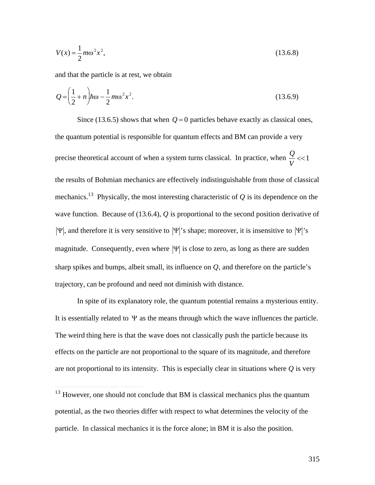$$
V(x) = \frac{1}{2}m\omega^2 x^2,
$$
\t(13.6.8)

and that the particle is at rest, we obtain

 $\overline{a}$ 

$$
Q = \left(\frac{1}{2} + n\right) \hbar \omega - \frac{1}{2} m \omega^2 x^2.
$$
 (13.6.9)

Since (13.6.5) shows that when  $Q=0$  particles behave exactly as classical ones, the quantum potential is responsible for quantum effects and BM can provide a very precise theoretical account of when a system turns classical. In practice, when  $\frac{Q}{N}$  <<1 mechanics.<sup>13</sup> Physically, the most interesting characteristic of  $Q$  is its dependence on the *V*  $<<1$ the results of Bohmian mechanics are effectively indistinguishable from those of classical wave function. Because of (13.6.4), *Q* is proportional to the second position derivative of  $\Psi$ , and therefore it is very sensitive to  $\Psi$ 's shape; moreover, it is insensitive to  $\Psi$ 's sharp spikes and bumps, albeit small, its influence on  $Q$ , and therefore on the particle's magnitude. Consequently, even where  $|\Psi|$  is close to zero, as long as there are sudden trajectory, can be profound and need not diminish with distance.

In spite of its explanatory role, the quantum potential remains a mysterious entity. It is essentially related to  $\Psi$  as the means through which the wave influences the particle. effects on the particle are not proportional to the square of its magnitude, and therefore The weird thing here is that the wave does not classically push the particle because its are not proportional to its intensity. This is especially clear in situations where *Q* is very

 $13$  However, one should not conclude that BM is classical mechanics plus the quantum potential, as the two theories differ with respect to what determines the velocity of the particle. In classical mechanics it is the force alone; in BM it is also the position.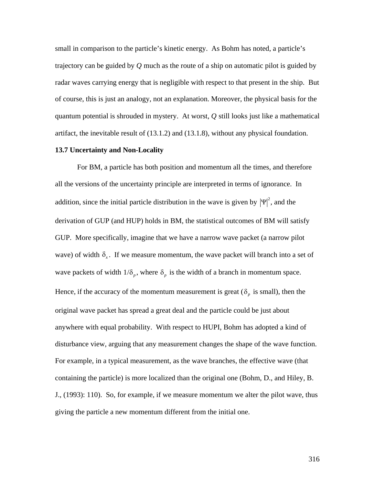small in comparison to the particle's kinetic energy. As Bohm has noted, a particle's trajectory can be guided by *Q* much as the route of a ship on automatic pilot is guided by radar waves carrying energy that is negligible with respect to that present in the ship. But of course, this is just an analogy, not an explanation. Moreover, the physical basis for the quantum potential is shrouded in mystery. At worst, *Q* still looks just like a mathematical artifact, the inevitable result of (13.1.2) and (13.1.8), without any physical foundation.

## **13.7 Uncertainty and Non-Locality**

For BM, a particle has both position and momentum all the times, and therefore all the versions of the uncertainty principle are interpreted in terms of ignorance. In addition, since the initial particle distribution in the wave is given by  $|\Psi|^2$ , and the GUP. More specifically, imagine that we have a narrow wave packet (a narrow pilot derivation of GUP (and HUP) holds in BM, the statistical outcomes of BM will satisfy wave) of width  $\delta_x$ . If we measure momentum, the wave packet will branch into a set of Hence, if the accuracy of the momentum measurement is great ( $\delta_p$  is small), then the wave packets of width  $1/\delta_p$ , where  $\delta_p$  is the width of a branch in momentum space.  $\mathbf{r} = \mathbf{r} \cdot \mathbf{r}$ anywhere with equal probability. With respect to HUPI, Bohm has adopted a kind of original wave packet has spread a great deal and the particle could be just about disturbance view, arguing that any measurement changes the shape of the wave function. For example, in a typical measurement, as the wave branches, the effective wave (that containing the particle) is more localized than the original one (Bohm, D., and Hiley, B. J., (1993): 110). So, for example, if we measure momentum we alter the pilot wave, thus giving the particle a new momentum different from the initial one.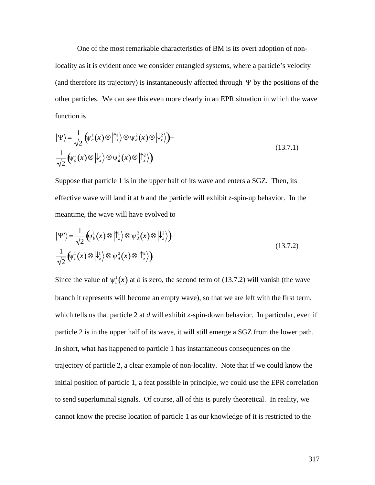One of the most remarkable characteristics of BM is its overt adoption of nonlocality as it is evident once we consider entangled systems, where a particle's velocity (and therefore its trajectory) is instantaneously affected through  $\Psi$  by the positions of the other particles. We can see this even more clearly in an EPR situation in which the wave function is

$$
|\Psi\rangle = \frac{1}{\sqrt{2}} \left(\psi_a^1(x) \otimes |\uparrow_z^1\rangle \otimes \psi_d^2(x) \otimes |\downarrow_z^2\rangle \right) -
$$
  

$$
\frac{1}{\sqrt{2}} \left(\psi_a^1(x) \otimes |\downarrow_z^1\rangle \otimes \psi_d^2(x) \otimes |\uparrow_z^2\rangle \right)
$$
 (13.7.1)

Suppose that particle 1 is in the upper half of its wave and enters a SGZ. Then, its effective wave will land it at *b* and the particle will exhibit *z*-spin-up behavior. In the meantime, the wave will have evolved to

$$
|\Psi'\rangle = \frac{1}{\sqrt{2}} \left(\psi_b^1(x) \otimes |\uparrow_z^1\rangle \otimes \psi_d^2(x) \otimes |\downarrow_z^2\rangle\right) -
$$
  

$$
\frac{1}{\sqrt{2}} \left(\psi_c^1(x) \otimes |\downarrow_z^1\rangle \otimes \psi_d^2(x) \otimes |\uparrow_z^2\rangle\right)
$$
(13.7.2)

Since the value of  $\psi_c^1(x)$  at *b* is zero, the second term of (13.7.2) will vanish (the wave which tells us that particle 2 at *d* will exhibit *z*-spin-down behavior. In particular, even if branch it represents will become an empty wave), so that we are left with the first term, particle 2 is in the upper half of its wave, it will still emerge a SGZ from the lower path. In short, what has happened to particle 1 has instantaneous consequences on the trajectory of particle 2, a clear example of non-locality. Note that if we could know the initial position of particle 1, a feat possible in principle, we could use the EPR correlation to send superluminal signals. Of course, all of this is purely theoretical. In reality, we cannot know the precise location of particle 1 as our knowledge of it is restricted to the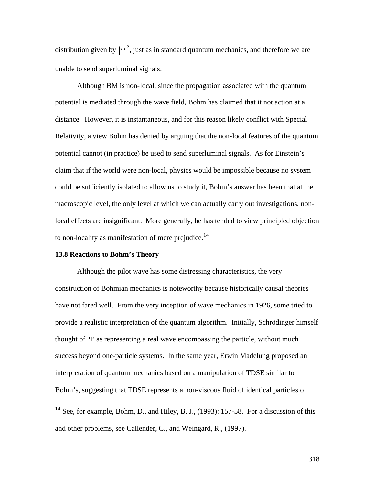distribution given by  $|\Psi|^2$ , just as in standard quantum mechanics, and therefore we are unable to send superluminal signals.

Although BM is non-local, since the propagation associated with the quantum potential is mediated through the wave field, Bohm has claimed that it not action at a distance. However, it is instantaneous, and for this reason likely conflict with Special Relativity, a view Bohm has denied by arguing that the non-local features of the quantum potential cannot (in practice) be used to send superluminal signals. As for Einstein's claim that if the world were non-local, physics would be impossible because no system could be sufficiently isolated to allow us to study it, Bohm's answer has been that at the macroscopic level, the only level at which we can actually carry out investigations, nonlocal effects are insignificant. More generally, he has tended to view principled objection to non-locality as manifestation of mere prejudice.<sup>14</sup>

## **13.8 Reactions to Bohm's Theory**

 $\overline{a}$ 

Although the pilot wave has some distressing characteristics, the very construction of Bohmian mechanics is noteworthy because historically causal theories have not fared well. From the very inception of wave mechanics in 1926, some tried to provide a realistic interpretation of the quantum algorithm. Initially, Schrödinger himself thought of  $\Psi$  as representing a real wave encompassing the particle, without much † interpretation of quantum mechanics based on a manipulation of TDSE similar to success beyond one-particle systems. In the same year, Erwin Madelung proposed an Bohm's, suggesting that TDSE represents a non-viscous fluid of identical particles of

 $14$  See, for example, Bohm, D., and Hiley, B. J., (1993): 157-58. For a discussion of this and other problems, see Callender, C., and Weingard, R., (1997).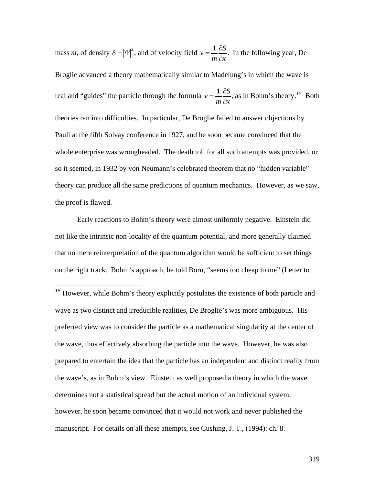mass *m*, of density  $\delta = |\Psi|^2$ , and of velocity field  $v = \frac{1}{2} \frac{\partial S}{\partial x}$ . In t  $m \partial x$  $\partial S$ <sub>In the</sub> *¶x* . In the following year, De Broglie advanced a theory mathematically similar to Madelung's in which the wave is real and "guides" the particle through the formula  $v = \frac{1}{2} \frac{\partial S}{\partial x}$ , as in Pauli at the fifth Solvay conference in 1927, and he soon became convinced that the  $m \partial x$ <sup> $\partial x$ </sup>  $\partial S$ <sub>28</sub> in **D**  $\partial x$ <sup> $\dot{\ }$ </sup> , as in Bohm's theory.<sup>15</sup> Both theories ran into difficulties. In particular, De Broglie failed to answer objections by whole enterprise was wrongheaded. The death toll for all such attempts was provided, or so it seemed, in 1932 by von Neumann's celebrated theorem that no "hidden variable" theory can produce all the same predictions of quantum mechanics. However, as we saw, the proof is flawed.

Early reactions to Bohm's theory were almost uniformly negative. Einstein did not like the intrinsic non-locality of the quantum potential, and more generally claimed that no mere reinterpretation of the quantum algorithm would be sufficient to set things on the right track. Bohm's approach, he told Born, "seems too cheap to me" (Letter to

 $\overline{a}$ 

<sup>&</sup>lt;sup>15</sup> However, while Bohm's theory explicitly postulates the existence of both particle and wave as two distinct and irreducible realities, De Broglie's was more ambiguous. His preferred view was to consider the particle as a mathematical singularity at the center of the wave, thus effectively absorbing the particle into the wave. However, he was also prepared to entertain the idea that the particle has an independent and distinct reality from the wave's, as in Bohm's view. Einstein as well proposed a theory in which the wave determines not a statistical spread but the actual motion of an individual system; however, he soon became convinced that it would not work and never published the manuscript. For details on all these attempts, see Cushing, J. T., (1994): ch. 8.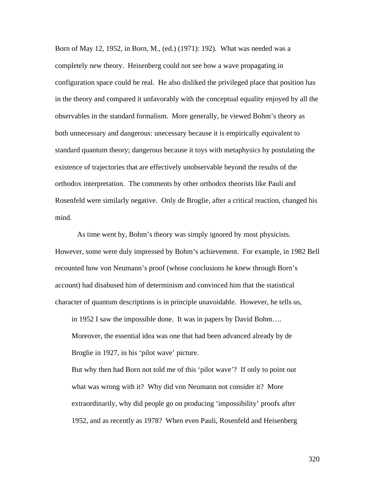Born of May 12, 1952, in Born, M., (ed.) (1971): 192). What was needed was a completely new theory. Heisenberg could not see how a wave propagating in configuration space could be real. He also disliked the privileged place that position has in the theory and compared it unfavorably with the conceptual equality enjoyed by all the observables in the standard formalism. More generally, he viewed Bohm's theory as both unnecessary and dangerous: unecessary because it is empirically equivalent to standard quantum theory; dangerous because it toys with metaphysics by postulating the existence of trajectories that are effectively unobservable beyond the results of the orthodox interpretation. The comments by other orthodox theorists like Pauli and Rosenfeld were similarly negative. Only de Broglie, after a critical reaction, changed his mind.

As time went by, Bohm's theory was simply ignored by most physicists. However, some were duly impressed by Bohm's achievement. For example, in 1982 Bell recounted how von Neumann's proof (whose conclusions he knew through Born's account) had disabused him of determinism and convinced him that the statistical character of quantum descriptions is in principle unavoidable. However, he tells us,

in 1952 I saw the impossible done. It was in papers by David Bohm…. Moreover, the essential idea was one that had been advanced already by de

Broglie in 1927, in his 'pilot wave' picture.

But why then had Born not told me of this 'pilot wave'? If only to point out what was wrong with it? Why did von Neumann not consider it? More extraordinarily, why did people go on producing 'impossibility' proofs after 1952, and as recently as 1978? When even Pauli, Rosenfeld and Heisenberg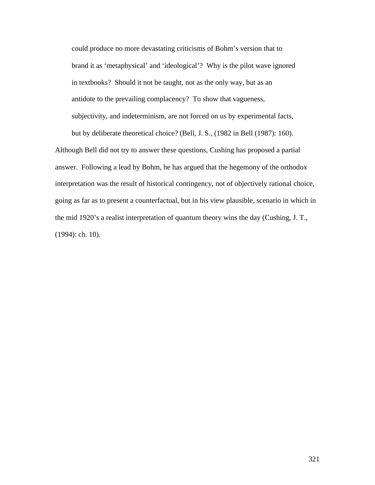could produce no more devastating criticisms of Bohm's version that to brand it as 'metaphysical' and 'ideological'? Why is the pilot wave ignored in textbooks? Should it not be taught, not as the only way, but as an antidote to the prevailing complacency? To show that vagueness, subjectivity, and indeterminism, are not forced on us by experimental facts, but by deliberate theoretical choice? (Bell, J. S., (1982 in Bell (1987): 160).

Although Bell did not try to answer these questions, Cushing has proposed a partial answer. Following a lead by Bohm, he has argued that the hegemony of the orthodox interpretation was the result of historical contingency, not of objectively rational choice, going as far as to present a counterfactual, but in his view plausible, scenario in which in the mid 1920's a realist interpretation of quantum theory wins the day (Cushing, J. T., (1994): ch. 10).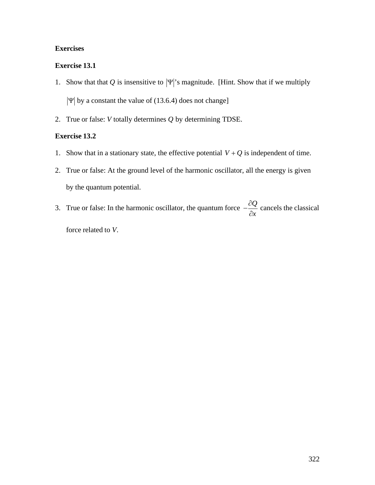# **Exercises**

# **Exercise 13.1**

- 1. Show that that Q is insensitive to  $|\Psi|$ 's magnitude. [Hint. Show that if we multiply  $|\Psi|$  by a constant the value of (13.6.4) does not change]
- † 2. True or false: *V* totally determines *Q* by determining TDSE.

#### † **Exercise 13.2**

- 1. Show that in a stationary state, the effective potential  $V + Q$  is independent of time.
- 2. True or false: At the ground level of the harmonic oscillator, all the energy is given by the quantum potential.
- 3. True or false: In the harmonic oscillator, the quantum force  $-\frac{\partial Q}{\partial \theta}$  cancels the *¶x* cancels the classical force related to *V*.